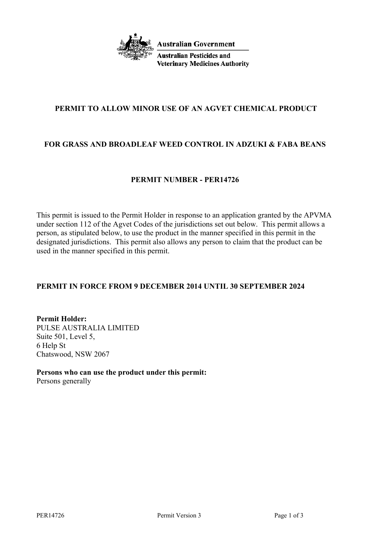

**Australian Government** 

**Australian Pesticides and Veterinary Medicines Authority** 

### **PERMIT TO ALLOW MINOR USE OF AN AGVET CHEMICAL PRODUCT**

## **FOR GRASS AND BROADLEAF WEED CONTROL IN ADZUKI & FABA BEANS**

#### **PERMIT NUMBER - PER14726**

This permit is issued to the Permit Holder in response to an application granted by the APVMA under section 112 of the Agvet Codes of the jurisdictions set out below. This permit allows a person, as stipulated below, to use the product in the manner specified in this permit in the designated jurisdictions. This permit also allows any person to claim that the product can be used in the manner specified in this permit.

## **PERMIT IN FORCE FROM 9 DECEMBER 2014 UNTIL 30 SEPTEMBER 2024**

**Permit Holder:** PULSE AUSTRALIA LIMITED Suite 501, Level 5, 6 Help St Chatswood, NSW 2067

**Persons who can use the product under this permit:** Persons generally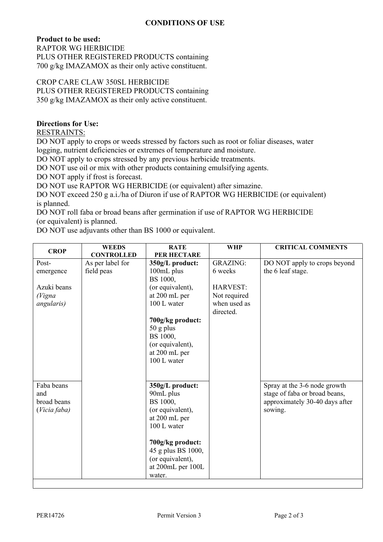**Product to be used:** RAPTOR WG HERBICIDE PLUS OTHER REGISTERED PRODUCTS containing 700 g/kg IMAZAMOX as their only active constituent.

CROP CARE CLAW 350SL HERBICIDE PLUS OTHER REGISTERED PRODUCTS containing 350 g/kg IMAZAMOX as their only active constituent.

# **Directions for Use:**

## RESTRAINTS:

DO NOT apply to crops or weeds stressed by factors such as root or foliar diseases, water logging, nutrient deficiencies or extremes of temperature and moisture.

DO NOT apply to crops stressed by any previous herbicide treatments.

DO NOT use oil or mix with other products containing emulsifying agents.

DO NOT apply if frost is forecast.

DO NOT use RAPTOR WG HERBICIDE (or equivalent) after simazine.

DO NOT exceed 250 g a.i./ha of Diuron if use of RAPTOR WG HERBICIDE (or equivalent) is planned.

DO NOT roll faba or broad beans after germination if use of RAPTOR WG HERBICIDE (or equivalent) is planned.

DO NOT use adjuvants other than BS 1000 or equivalent.

| <b>CROP</b>  | <b>WEEDS</b>      | <b>RATE</b>                                                                     | <b>WHP</b>                | <b>CRITICAL COMMENTS</b>       |
|--------------|-------------------|---------------------------------------------------------------------------------|---------------------------|--------------------------------|
|              | <b>CONTROLLED</b> | PER HECTARE                                                                     |                           |                                |
| Post-        | As per label for  | 350g/L product:                                                                 | <b>GRAZING:</b>           | DO NOT apply to crops beyond   |
| emergence    | field peas        | 100mL plus                                                                      | 6 weeks                   | the 6 leaf stage.              |
|              |                   | BS 1000,                                                                        |                           |                                |
| Azuki beans  |                   | (or equivalent),                                                                | <b>HARVEST:</b>           |                                |
| (Vigna       |                   | at 200 mL per                                                                   | Not required              |                                |
| angularis)   |                   | 100 L water                                                                     | when used as<br>directed. |                                |
|              |                   | 700g/kg product:                                                                |                           |                                |
|              |                   | $50$ g plus                                                                     |                           |                                |
|              |                   | BS 1000,                                                                        |                           |                                |
|              |                   | (or equivalent),                                                                |                           |                                |
|              |                   | at 200 mL per                                                                   |                           |                                |
|              |                   | 100 L water                                                                     |                           |                                |
|              |                   |                                                                                 |                           |                                |
|              |                   |                                                                                 |                           |                                |
| Faba beans   |                   | 350g/L product:                                                                 |                           | Spray at the 3-6 node growth   |
| and          |                   | 90mL plus                                                                       |                           | stage of faba or broad beans,  |
| broad beans  |                   | BS 1000,                                                                        |                           | approximately 30-40 days after |
| (Vicia faba) |                   | (or equivalent),                                                                |                           | sowing.                        |
|              |                   | at 200 mL per                                                                   |                           |                                |
|              |                   | 100 L water                                                                     |                           |                                |
|              |                   |                                                                                 |                           |                                |
|              |                   |                                                                                 |                           |                                |
|              |                   |                                                                                 |                           |                                |
|              |                   |                                                                                 |                           |                                |
|              |                   |                                                                                 |                           |                                |
|              |                   | water.                                                                          |                           |                                |
|              |                   | 700g/kg product:<br>45 g plus BS 1000,<br>(or equivalent),<br>at 200mL per 100L |                           |                                |